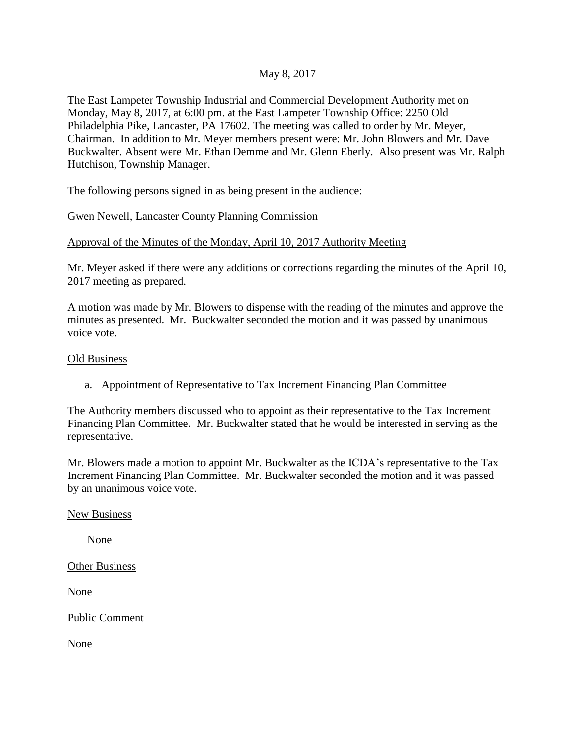## May 8, 2017

The East Lampeter Township Industrial and Commercial Development Authority met on Monday, May 8, 2017, at 6:00 pm. at the East Lampeter Township Office: 2250 Old Philadelphia Pike, Lancaster, PA 17602. The meeting was called to order by Mr. Meyer, Chairman. In addition to Mr. Meyer members present were: Mr. John Blowers and Mr. Dave Buckwalter. Absent were Mr. Ethan Demme and Mr. Glenn Eberly. Also present was Mr. Ralph Hutchison, Township Manager.

The following persons signed in as being present in the audience:

Gwen Newell, Lancaster County Planning Commission

## Approval of the Minutes of the Monday, April 10, 2017 Authority Meeting

Mr. Meyer asked if there were any additions or corrections regarding the minutes of the April 10, 2017 meeting as prepared.

A motion was made by Mr. Blowers to dispense with the reading of the minutes and approve the minutes as presented. Mr. Buckwalter seconded the motion and it was passed by unanimous voice vote.

## Old Business

a. Appointment of Representative to Tax Increment Financing Plan Committee

The Authority members discussed who to appoint as their representative to the Tax Increment Financing Plan Committee. Mr. Buckwalter stated that he would be interested in serving as the representative.

Mr. Blowers made a motion to appoint Mr. Buckwalter as the ICDA's representative to the Tax Increment Financing Plan Committee. Mr. Buckwalter seconded the motion and it was passed by an unanimous voice vote.

New Business

None

Other Business

None

Public Comment

None